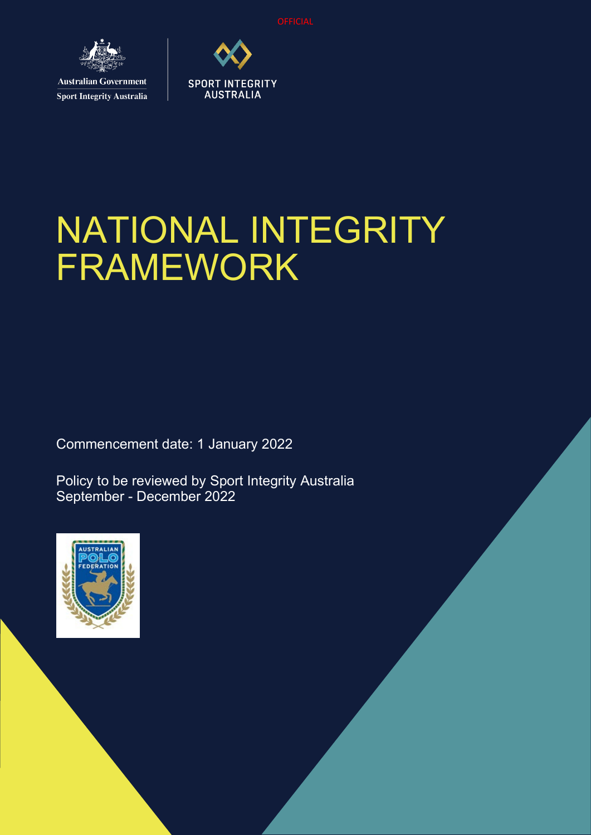

**Sport Integrity Australia** 



# NATIONAL INTEGRITY FRAMEWORK

Commencement date: 1 January 2022

Policy to be reviewed by Sport Integrity Australia September - December 2022

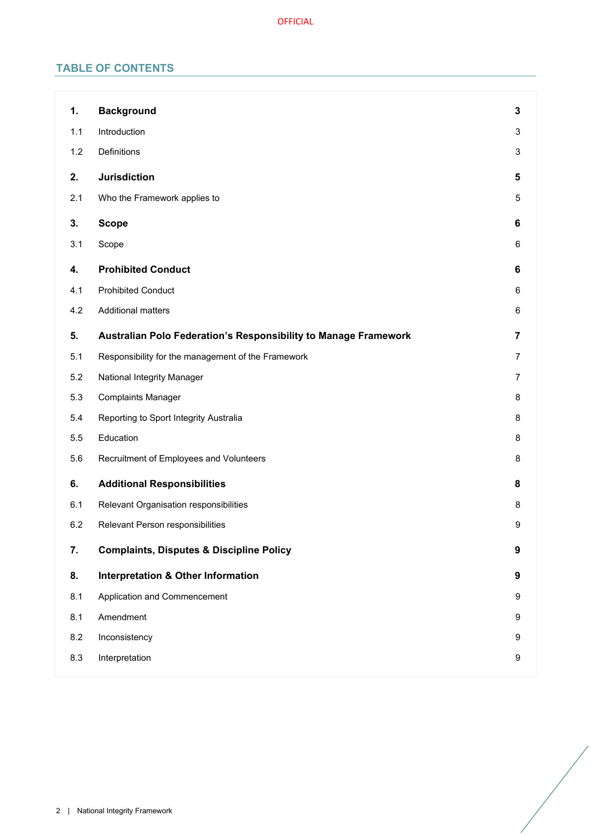# **TABLE OF CONTENTS**

| 1.  | <b>Background</b>                                               | 3                |
|-----|-----------------------------------------------------------------|------------------|
| 1.1 | Introduction                                                    | 3                |
| 1.2 | Definitions                                                     | 3                |
| 2.  | <b>Jurisdiction</b>                                             | 5                |
| 2.1 | Who the Framework applies to                                    | 5                |
| 3.  | <b>Scope</b>                                                    | 6                |
| 3.1 | Scope                                                           | 6                |
| 4.  | <b>Prohibited Conduct</b>                                       | 6                |
| 4.1 | <b>Prohibited Conduct</b>                                       | 6                |
| 4.2 | <b>Additional matters</b>                                       | 6                |
| 5.  | Australian Polo Federation's Responsibility to Manage Framework | 7                |
| 5.1 | Responsibility for the management of the Framework              | $\overline{7}$   |
| 5.2 | National Integrity Manager                                      | 7                |
| 5.3 | <b>Complaints Manager</b>                                       | 8                |
| 5.4 | Reporting to Sport Integrity Australia                          | 8                |
| 5.5 | Education                                                       | 8                |
| 5.6 | Recruitment of Employees and Volunteers                         | 8                |
| 6.  | <b>Additional Responsibilities</b>                              | 8                |
| 6.1 | Relevant Organisation responsibilities                          | 8                |
| 6.2 | Relevant Person responsibilities                                | 9                |
| 7.  | <b>Complaints, Disputes &amp; Discipline Policy</b>             | 9                |
| 8.  | <b>Interpretation &amp; Other Information</b>                   | $\boldsymbol{9}$ |
| 8.1 | Application and Commencement                                    | 9                |
| 8.1 | Amendment                                                       | 9                |
| 8.2 | Inconsistency                                                   | 9                |
| 8.3 | Interpretation                                                  | 9                |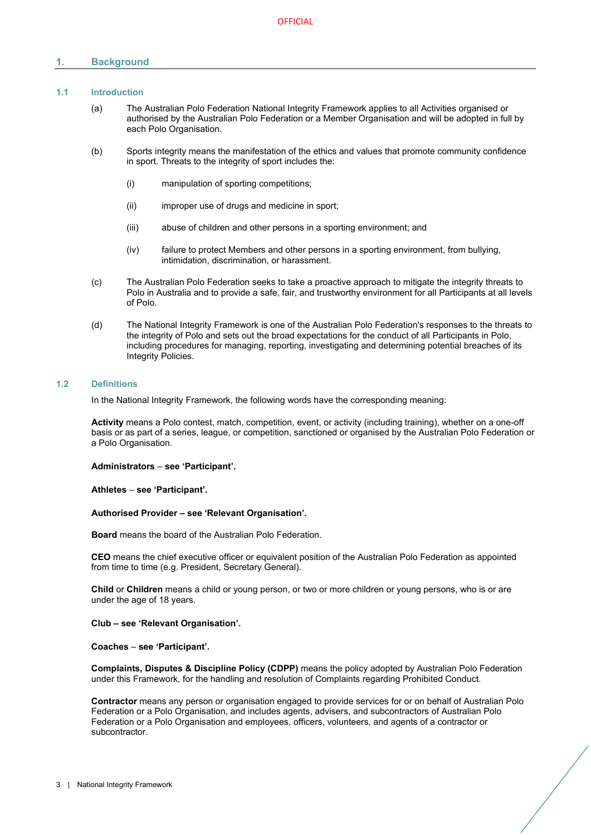# <span id="page-2-0"></span>**1. Background**

# <span id="page-2-1"></span>**1.1 Introduction**

- (a) The Australian Polo Federation National Integrity Framework applies to all Activities organised or authorised by the Australian Polo Federation or a Member Organisation and will be adopted in full by each Polo Organisation.
- (b) Sports integrity means the manifestation of the ethics and values that promote community confidence in sport. Threats to the integrity of sport includes the:
	- (i) manipulation of sporting competitions;
	- (ii) improper use of drugs and medicine in sport;
	- (iii) abuse of children and other persons in a sporting environment; and
	- (iv) failure to protect Members and other persons in a sporting environment, from bullying, intimidation, discrimination, or harassment.
- (c) The Australian Polo Federation seeks to take a proactive approach to mitigate the integrity threats to Polo in Australia and to provide a safe, fair, and trustworthy environment for all Participants at all levels of Polo.
- (d) The National Integrity Framework is one of the Australian Polo Federation's responses to the threats to the integrity of Polo and sets out the broad expectations for the conduct of all Participants in Polo, including procedures for managing, reporting, investigating and determining potential breaches of its Integrity Policies.

#### <span id="page-2-2"></span>**1.2 Definitions**

In the National Integrity Framework, the following words have the corresponding meaning:

**Activity** means a Polo contest, match, competition, event, or activity (including training), whether on a one-off basis or as part of a series, league, or competition, sanctioned or organised by the Australian Polo Federation or a Polo Organisation.

**Administrators** – **see 'Participant'.**

**Athletes** – **see 'Participant'.** 

#### **Authorised Provider – see 'Relevant Organisation'.**

**Board** means the board of the Australian Polo Federation.

**CEO** means the chief executive officer or equivalent position of the Australian Polo Federation as appointed from time to time (e.g. President, Secretary General).

**Child** or **Children** means a child or young person, or two or more children or young persons, who is or are under the age of 18 years.

#### **Club – see 'Relevant Organisation'.**

#### **Coaches** – **see 'Participant'.**

**Complaints, Disputes & Discipline Policy (CDPP)** means the policy adopted by Australian Polo Federation under this Framework, for the handling and resolution of Complaints regarding Prohibited Conduct.

**Contractor** means any person or organisation engaged to provide services for or on behalf of Australian Polo Federation or a Polo Organisation, and includes agents, advisers, and subcontractors of Australian Polo Federation or a Polo Organisation and employees, officers, volunteers, and agents of a contractor or subcontractor.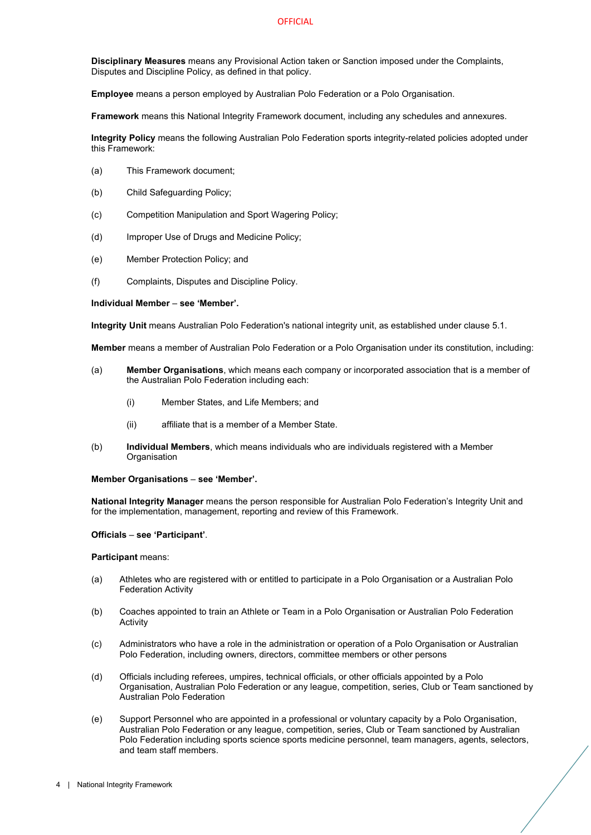**Disciplinary Measures** means any Provisional Action taken or Sanction imposed under the Complaints, Disputes and Discipline Policy, as defined in that policy.

**Employee** means a person employed by Australian Polo Federation or a Polo Organisation.

**Framework** means this National Integrity Framework document, including any schedules and annexures.

**Integrity Policy** means the following Australian Polo Federation sports integrity-related policies adopted under this Framework:

- (a) This Framework document;
- (b) Child Safeguarding Policy;
- (c) Competition Manipulation and Sport Wagering Policy;
- (d) Improper Use of Drugs and Medicine Policy;
- (e) Member Protection Policy; and
- (f) Complaints, Disputes and Discipline Policy.

#### **Individual Member** – **see 'Member'.**

**Integrity Unit** means Australian Polo Federation's national integrity unit, as established under clause [5.1.](#page-6-1)

**Member** means a member of Australian Polo Federation or a Polo Organisation under its constitution, including:

- (a) **Member Organisations**, which means each company or incorporated association that is a member of the Australian Polo Federation including each:
	- (i) Member States, and Life Members; and
	- (ii) affiliate that is a member of a Member State.
- (b) **Individual Members**, which means individuals who are individuals registered with a Member **Organisation**

#### **Member Organisations** – **see 'Member'.**

**National Integrity Manager** means the person responsible for Australian Polo Federation's Integrity Unit and for the implementation, management, reporting and review of this Framework.

#### **Officials** – **see 'Participant'**.

#### **Participant** means:

- (a) Athletes who are registered with or entitled to participate in a Polo Organisation or a Australian Polo Federation Activity
- (b) Coaches appointed to train an Athlete or Team in a Polo Organisation or Australian Polo Federation **Activity**
- (c) Administrators who have a role in the administration or operation of a Polo Organisation or Australian Polo Federation, including owners, directors, committee members or other persons
- (d) Officials including referees, umpires, technical officials, or other officials appointed by a Polo Organisation, Australian Polo Federation or any league, competition, series, Club or Team sanctioned by Australian Polo Federation
- (e) Support Personnel who are appointed in a professional or voluntary capacity by a Polo Organisation, Australian Polo Federation or any league, competition, series, Club or Team sanctioned by Australian Polo Federation including sports science sports medicine personnel, team managers, agents, selectors, and team staff members.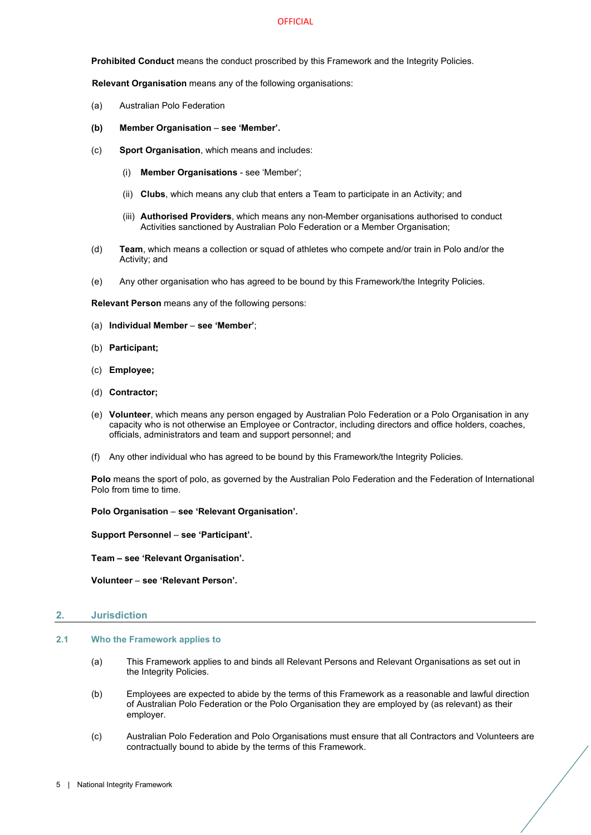**Prohibited Conduct** means the conduct proscribed by this Framework and the Integrity Policies.

**Relevant Organisation** means any of the following organisations:

- (a) Australian Polo Federation
- **(b) Member Organisation see 'Member'.**
- (c) **Sport Organisation**, which means and includes:
	- (i) **Member Organisations** see 'Member';
	- (ii) **Clubs**, which means any club that enters a Team to participate in an Activity; and
	- (iii) **Authorised Providers**, which means any non-Member organisations authorised to conduct Activities sanctioned by Australian Polo Federation or a Member Organisation;
- (d) **Team**, which means a collection or squad of athletes who compete and/or train in Polo and/or the Activity; and
- (e) Any other organisation who has agreed to be bound by this Framework/the Integrity Policies.

**Relevant Person** means any of the following persons:

- (a) **Individual Member see 'Member'**;
- (b) **Participant;**
- (c) **Employee;**
- (d) **Contractor;**
- (e) **Volunteer**, which means any person engaged by Australian Polo Federation or a Polo Organisation in any capacity who is not otherwise an Employee or Contractor, including directors and office holders, coaches, officials, administrators and team and support personnel; and
- (f) Any other individual who has agreed to be bound by this Framework/the Integrity Policies.

**Polo** means the sport of polo, as governed by the Australian Polo Federation and the Federation of International Polo from time to time.

**Polo Organisation** – **see 'Relevant Organisation'.**

**Support Personnel** – **see 'Participant'.**

**Team – see 'Relevant Organisation'.** 

**Volunteer** – **see 'Relevant Person'.** 

#### <span id="page-4-0"></span>**2. Jurisdiction**

# <span id="page-4-1"></span>**2.1 Who the Framework applies to**

- (a) This Framework applies to and binds all Relevant Persons and Relevant Organisations as set out in the Integrity Policies.
- (b) Employees are expected to abide by the terms of this Framework as a reasonable and lawful direction of Australian Polo Federation or the Polo Organisation they are employed by (as relevant) as their employer.
- (c) Australian Polo Federation and Polo Organisations must ensure that all Contractors and Volunteers are contractually bound to abide by the terms of this Framework.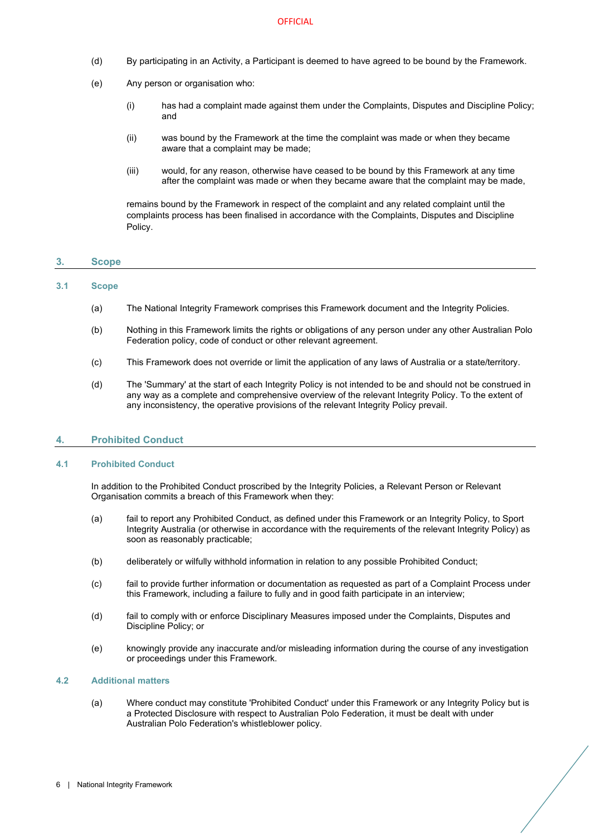- (d) By participating in an Activity, a Participant is deemed to have agreed to be bound by the Framework.
- (e) Any person or organisation who:
	- (i) has had a complaint made against them under the Complaints, Disputes and Discipline Policy; and
	- (ii) was bound by the Framework at the time the complaint was made or when they became aware that a complaint may be made;
	- (iii) would, for any reason, otherwise have ceased to be bound by this Framework at any time after the complaint was made or when they became aware that the complaint may be made,

remains bound by the Framework in respect of the complaint and any related complaint until the complaints process has been finalised in accordance with the Complaints, Disputes and Discipline Policy.

# <span id="page-5-0"></span>**3. Scope**

# <span id="page-5-1"></span>**3.1 Scope**

- (a) The National Integrity Framework comprises this Framework document and the Integrity Policies.
- (b) Nothing in this Framework limits the rights or obligations of any person under any other Australian Polo Federation policy, code of conduct or other relevant agreement.
- (c) This Framework does not override or limit the application of any laws of Australia or a state/territory.
- (d) The 'Summary' at the start of each Integrity Policy is not intended to be and should not be construed in any way as a complete and comprehensive overview of the relevant Integrity Policy. To the extent of any inconsistency, the operative provisions of the relevant Integrity Policy prevail.

# <span id="page-5-2"></span>**4. Prohibited Conduct**

#### <span id="page-5-3"></span>**4.1 Prohibited Conduct**

In addition to the Prohibited Conduct proscribed by the Integrity Policies, a Relevant Person or Relevant Organisation commits a breach of this Framework when they:

- (a) fail to report any Prohibited Conduct, as defined under this Framework or an Integrity Policy, to Sport Integrity Australia (or otherwise in accordance with the requirements of the relevant Integrity Policy) as soon as reasonably practicable;
- (b) deliberately or wilfully withhold information in relation to any possible Prohibited Conduct;
- (c) fail to provide further information or documentation as requested as part of a Complaint Process under this Framework, including a failure to fully and in good faith participate in an interview;
- (d) fail to comply with or enforce Disciplinary Measures imposed under the Complaints, Disputes and Discipline Policy; or
- (e) knowingly provide any inaccurate and/or misleading information during the course of any investigation or proceedings under this Framework.

#### <span id="page-5-4"></span>**4.2 Additional matters**

(a) Where conduct may constitute 'Prohibited Conduct' under this Framework or any Integrity Policy but is a Protected Disclosure with respect to Australian Polo Federation, it must be dealt with under Australian Polo Federation's whistleblower policy.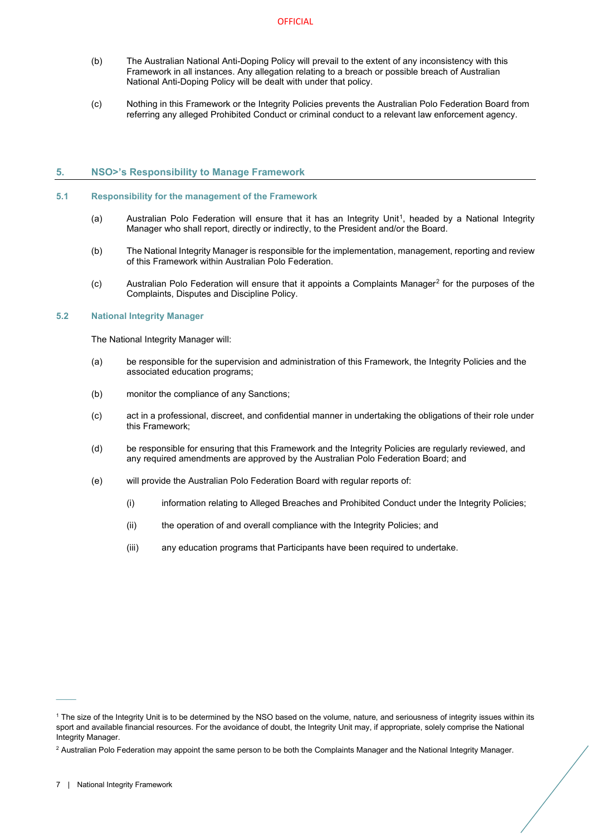- (b) The Australian National Anti-Doping Policy will prevail to the extent of any inconsistency with this Framework in all instances. Any allegation relating to a breach or possible breach of Australian National Anti-Doping Policy will be dealt with under that policy.
- (c) Nothing in this Framework or the Integrity Policies prevents the Australian Polo Federation Board from referring any alleged Prohibited Conduct or criminal conduct to a relevant law enforcement agency.

# <span id="page-6-0"></span>**5. NSO>'s Responsibility to Manage Framework**

# <span id="page-6-1"></span>**5.1 Responsibility for the management of the Framework**

- (a) Australian Polo Federation will ensure that it has an Integrity Uni[t1,](#page-6-3) headed by a National Integrity Manager who shall report, directly or indirectly, to the President and/or the Board.
- (b) The National Integrity Manager is responsible for the implementation, management, reporting and review of this Framework within Australian Polo Federation.
- (c) Australian Polo Federation will ensure that it appoints a Complaints Manager[2](#page-6-4) for the purposes of the Complaints, Disputes and Discipline Policy.

# <span id="page-6-2"></span>**5.2 National Integrity Manager**

The National Integrity Manager will:

- (a) be responsible for the supervision and administration of this Framework, the Integrity Policies and the associated education programs;
- (b) monitor the compliance of any Sanctions;
- (c) act in a professional, discreet, and confidential manner in undertaking the obligations of their role under this Framework;
- (d) be responsible for ensuring that this Framework and the Integrity Policies are regularly reviewed, and any required amendments are approved by the Australian Polo Federation Board; and
- (e) will provide the Australian Polo Federation Board with regular reports of:
	- (i) information relating to Alleged Breaches and Prohibited Conduct under the Integrity Policies;
	- (ii) the operation of and overall compliance with the Integrity Policies; and
	- (iii) any education programs that Participants have been required to undertake.

 $\mathcal{L}^{\mathcal{L}}$ 

<span id="page-6-3"></span><sup>1</sup> The size of the Integrity Unit is to be determined by the NSO based on the volume, nature, and seriousness of integrity issues within its sport and available financial resources. For the avoidance of doubt, the Integrity Unit may, if appropriate, solely comprise the National Integrity Manager.

<span id="page-6-4"></span><sup>&</sup>lt;sup>2</sup> Australian Polo Federation may appoint the same person to be both the Complaints Manager and the National Integrity Manager.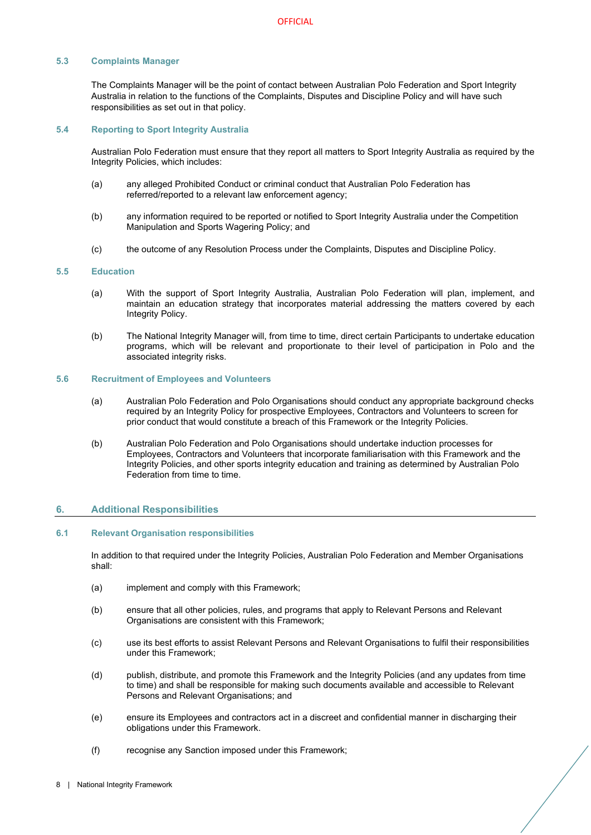# <span id="page-7-0"></span>**5.3 Complaints Manager**

The Complaints Manager will be the point of contact between Australian Polo Federation and Sport Integrity Australia in relation to the functions of the Complaints, Disputes and Discipline Policy and will have such responsibilities as set out in that policy.

#### <span id="page-7-1"></span>**5.4 Reporting to Sport Integrity Australia**

Australian Polo Federation must ensure that they report all matters to Sport Integrity Australia as required by the Integrity Policies, which includes:

- (a) any alleged Prohibited Conduct or criminal conduct that Australian Polo Federation has referred/reported to a relevant law enforcement agency;
- (b) any information required to be reported or notified to Sport Integrity Australia under the Competition Manipulation and Sports Wagering Policy; and
- (c) the outcome of any Resolution Process under the Complaints, Disputes and Discipline Policy.

# <span id="page-7-2"></span>**5.5 Education**

- (a) With the support of Sport Integrity Australia, Australian Polo Federation will plan, implement, and maintain an education strategy that incorporates material addressing the matters covered by each Integrity Policy.
- (b) The National Integrity Manager will, from time to time, direct certain Participants to undertake education programs, which will be relevant and proportionate to their level of participation in Polo and the associated integrity risks.

#### <span id="page-7-3"></span>**5.6 Recruitment of Employees and Volunteers**

- (a) Australian Polo Federation and Polo Organisations should conduct any appropriate background checks required by an Integrity Policy for prospective Employees, Contractors and Volunteers to screen for prior conduct that would constitute a breach of this Framework or the Integrity Policies.
- (b) Australian Polo Federation and Polo Organisations should undertake induction processes for Employees, Contractors and Volunteers that incorporate familiarisation with this Framework and the Integrity Policies, and other sports integrity education and training as determined by Australian Polo Federation from time to time.

# <span id="page-7-4"></span>**6. Additional Responsibilities**

#### <span id="page-7-5"></span>**6.1 Relevant Organisation responsibilities**

In addition to that required under the Integrity Policies, Australian Polo Federation and Member Organisations shall:

- (a) implement and comply with this Framework;
- (b) ensure that all other policies, rules, and programs that apply to Relevant Persons and Relevant Organisations are consistent with this Framework;
- (c) use its best efforts to assist Relevant Persons and Relevant Organisations to fulfil their responsibilities under this Framework;
- (d) publish, distribute, and promote this Framework and the Integrity Policies (and any updates from time to time) and shall be responsible for making such documents available and accessible to Relevant Persons and Relevant Organisations; and
- (e) ensure its Employees and contractors act in a discreet and confidential manner in discharging their obligations under this Framework.
- (f) recognise any Sanction imposed under this Framework;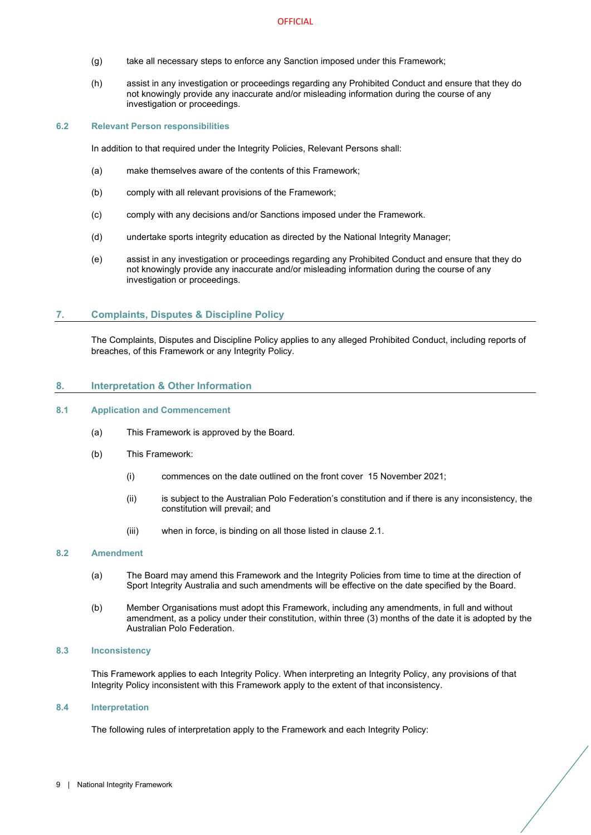- (g) take all necessary steps to enforce any Sanction imposed under this Framework;
- (h) assist in any investigation or proceedings regarding any Prohibited Conduct and ensure that they do not knowingly provide any inaccurate and/or misleading information during the course of any investigation or proceedings.

# <span id="page-8-0"></span>**6.2 Relevant Person responsibilities**

In addition to that required under the Integrity Policies, Relevant Persons shall:

- (a) make themselves aware of the contents of this Framework;
- (b) comply with all relevant provisions of the Framework;
- (c) comply with any decisions and/or Sanctions imposed under the Framework.
- (d) undertake sports integrity education as directed by the National Integrity Manager;
- (e) assist in any investigation or proceedings regarding any Prohibited Conduct and ensure that they do not knowingly provide any inaccurate and/or misleading information during the course of any investigation or proceedings.

# <span id="page-8-1"></span>**7. Complaints, Disputes & Discipline Policy**

The Complaints, Disputes and Discipline Policy applies to any alleged Prohibited Conduct, including reports of breaches, of this Framework or any Integrity Policy.

#### <span id="page-8-2"></span>**8. Interpretation & Other Information**

# <span id="page-8-3"></span>**8.1 Application and Commencement**

- (a) This Framework is approved by the Board.
- (b) This Framework:
	- (i) commences on the date outlined on the front cover 15 November 2021;
	- (ii) is subject to the Australian Polo Federation's constitution and if there is any inconsistency, the constitution will prevail; and
	- (iii) when in force, is binding on all those listed in clause [2.1.](#page-4-1)

#### <span id="page-8-4"></span>**8.2 Amendment**

- (a) The Board may amend this Framework and the Integrity Policies from time to time at the direction of Sport Integrity Australia and such amendments will be effective on the date specified by the Board.
- (b) Member Organisations must adopt this Framework, including any amendments, in full and without amendment, as a policy under their constitution, within three (3) months of the date it is adopted by the Australian Polo Federation.

#### <span id="page-8-5"></span>**8.3 Inconsistency**

This Framework applies to each Integrity Policy. When interpreting an Integrity Policy, any provisions of that Integrity Policy inconsistent with this Framework apply to the extent of that inconsistency.

#### <span id="page-8-6"></span>**8.4 Interpretation**

The following rules of interpretation apply to the Framework and each Integrity Policy: